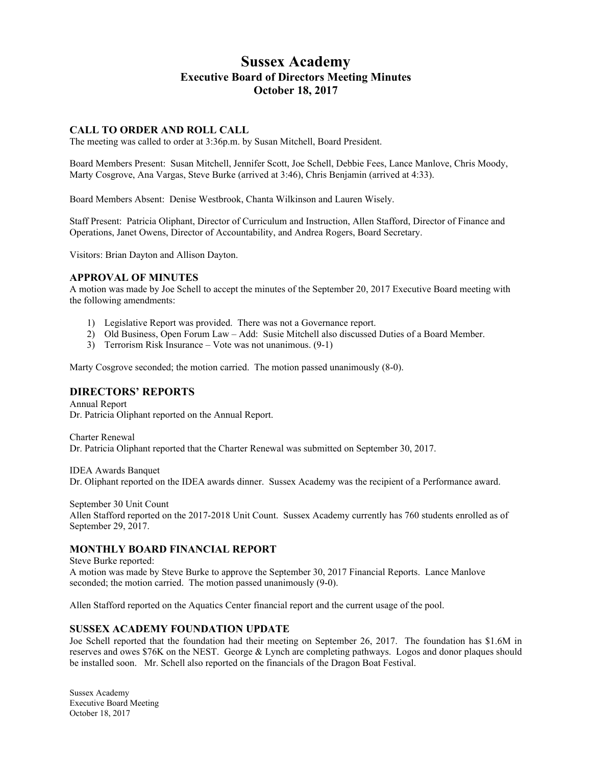# **Sussex Academy Executive Board of Directors Meeting Minutes October 18, 2017**

#### **CALL TO ORDER AND ROLL CALL**

The meeting was called to order at 3:36p.m. by Susan Mitchell, Board President.

Board Members Present: Susan Mitchell, Jennifer Scott, Joe Schell, Debbie Fees, Lance Manlove, Chris Moody, Marty Cosgrove, Ana Vargas, Steve Burke (arrived at 3:46), Chris Benjamin (arrived at 4:33).

Board Members Absent: Denise Westbrook, Chanta Wilkinson and Lauren Wisely.

Staff Present: Patricia Oliphant, Director of Curriculum and Instruction, Allen Stafford, Director of Finance and Operations, Janet Owens, Director of Accountability, and Andrea Rogers, Board Secretary.

Visitors: Brian Dayton and Allison Dayton.

#### **APPROVAL OF MINUTES**

A motion was made by Joe Schell to accept the minutes of the September 20, 2017 Executive Board meeting with the following amendments:

- 1) Legislative Report was provided. There was not a Governance report.
- 2) Old Business, Open Forum Law Add: Susie Mitchell also discussed Duties of a Board Member.
- 3) Terrorism Risk Insurance Vote was not unanimous. (9-1)

Marty Cosgrove seconded; the motion carried. The motion passed unanimously (8-0).

## **DIRECTORS' REPORTS**

Annual Report Dr. Patricia Oliphant reported on the Annual Report.

Charter Renewal Dr. Patricia Oliphant reported that the Charter Renewal was submitted on September 30, 2017.

IDEA Awards Banquet Dr. Oliphant reported on the IDEA awards dinner. Sussex Academy was the recipient of a Performance award.

September 30 Unit Count Allen Stafford reported on the 2017-2018 Unit Count. Sussex Academy currently has 760 students enrolled as of September 29, 2017.

#### **MONTHLY BOARD FINANCIAL REPORT**

Steve Burke reported:

A motion was made by Steve Burke to approve the September 30, 2017 Financial Reports. Lance Manlove seconded; the motion carried. The motion passed unanimously  $(9-0)$ .

Allen Stafford reported on the Aquatics Center financial report and the current usage of the pool.

#### **SUSSEX ACADEMY FOUNDATION UPDATE**

Joe Schell reported that the foundation had their meeting on September 26, 2017. The foundation has \$1.6M in reserves and owes \$76K on the NEST. George & Lynch are completing pathways. Logos and donor plaques should be installed soon. Mr. Schell also reported on the financials of the Dragon Boat Festival.

Sussex Academy Executive Board Meeting October 18, 2017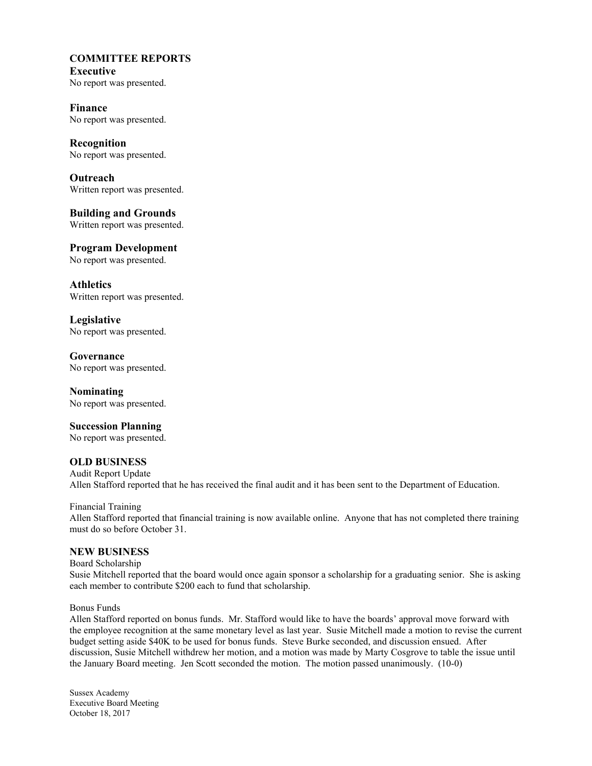#### **COMMITTEE REPORTS Executive**

No report was presented.

**Finance** No report was presented.

**Recognition** No report was presented.

**Outreach** Written report was presented.

**Building and Grounds** Written report was presented.

**Program Development** No report was presented.

**Athletics** Written report was presented.

**Legislative** No report was presented.

**Governance** No report was presented.

**Nominating** No report was presented.

**Succession Planning** No report was presented.

## **OLD BUSINESS**

Audit Report Update Allen Stafford reported that he has received the final audit and it has been sent to the Department of Education.

Financial Training Allen Stafford reported that financial training is now available online. Anyone that has not completed there training must do so before October 31.

#### **NEW BUSINESS**

Board Scholarship Susie Mitchell reported that the board would once again sponsor a scholarship for a graduating senior. She is asking each member to contribute \$200 each to fund that scholarship.

Bonus Funds

Allen Stafford reported on bonus funds. Mr. Stafford would like to have the boards' approval move forward with the employee recognition at the same monetary level as last year. Susie Mitchell made a motion to revise the current budget setting aside \$40K to be used for bonus funds. Steve Burke seconded, and discussion ensued. After discussion, Susie Mitchell withdrew her motion, and a motion was made by Marty Cosgrove to table the issue until the January Board meeting. Jen Scott seconded the motion. The motion passed unanimously. (10-0)

Sussex Academy Executive Board Meeting October 18, 2017